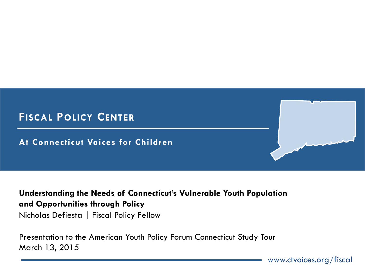

#### **Understanding the Needs of Connecticut's Vulnerable Youth Population and Opportunities through Policy**  Nicholas Defiesta | Fiscal Policy Fellow

Presentation to the American Youth Policy Forum Connecticut Study Tour March 13, 2015

www.ctvoices.org/fiscal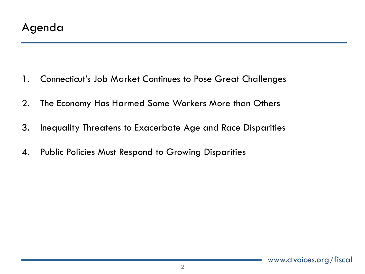- 1. Connecticut's Job Market Continues to Pose Great Challenges
- 2. The Economy Has Harmed Some Workers More than Others
- 3. Inequality Threatens to Exacerbate Age and Race Disparities
- 4. Public Policies Must Respond to Growing Disparities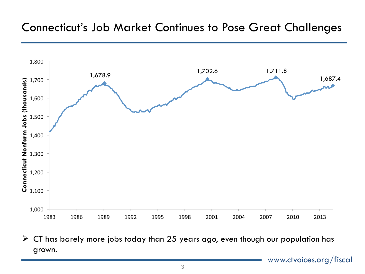

 $\triangleright$  CT has barely more jobs today than 25 years ago, even though our population has grown.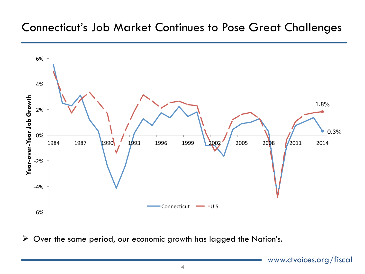

 $\triangleright$  Over the same period, our economic growth has lagged the Nation's.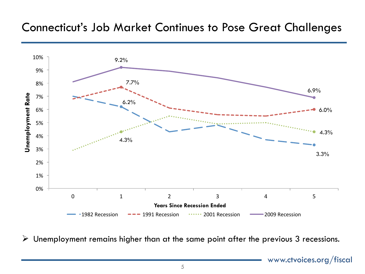

 $\triangleright$  Unemployment remains higher than at the same point after the previous 3 recessions.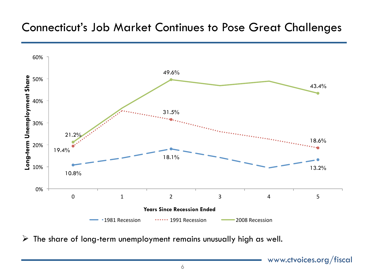

 $\triangleright$  The share of long-term unemployment remains unusually high as well.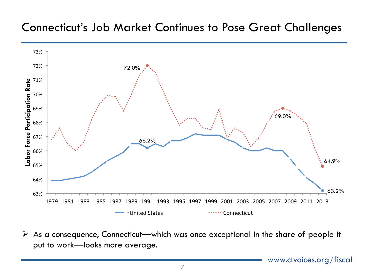

 $\triangleright$  As a consequence, Connecticut—which was once exceptional in the share of people it put to work—looks more average.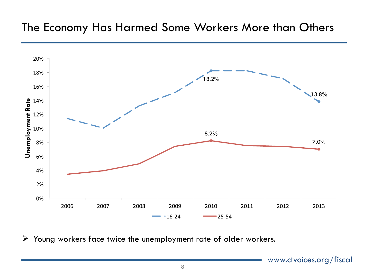# The Economy Has Harmed Some Workers More than Others



 $\triangleright$  Young workers face twice the unemployment rate of older workers.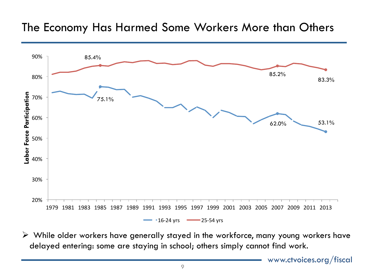## The Economy Has Harmed Some Workers More than Others



 $\triangleright$  While older workers have generally stayed in the workforce, many young workers have delayed entering: some are staying in school; others simply cannot find work.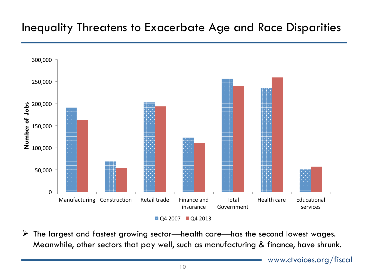# Inequality Threatens to Exacerbate Age and Race Disparities



 $\triangleright$  The largest and fastest growing sector—health care—has the second lowest wages. Meanwhile, other sectors that pay well, such as manufacturing & finance, have shrunk.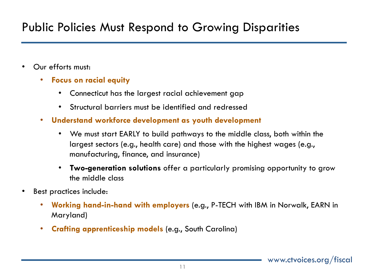# Public Policies Must Respond to Growing Disparities

- Our efforts must:
	- **Focus on racial equity** 
		- Connecticut has the largest racial achievement gap
		- Structural barriers must be identified and redressed
	- **Understand workforce development as youth development** 
		- We must start EARLY to build pathways to the middle class, both within the largest sectors (e.g., health care) and those with the highest wages (e.g., manufacturing, finance, and insurance)
		- **Two-generation solutions** offer a particularly promising opportunity to grow the middle class
- Best practices include:
	- **Working hand-in-hand with employers** (e.g., P-TECH with IBM in Norwalk, EARN in Maryland)
	- **Crafting apprenticeship models** (e.g., South Carolina)